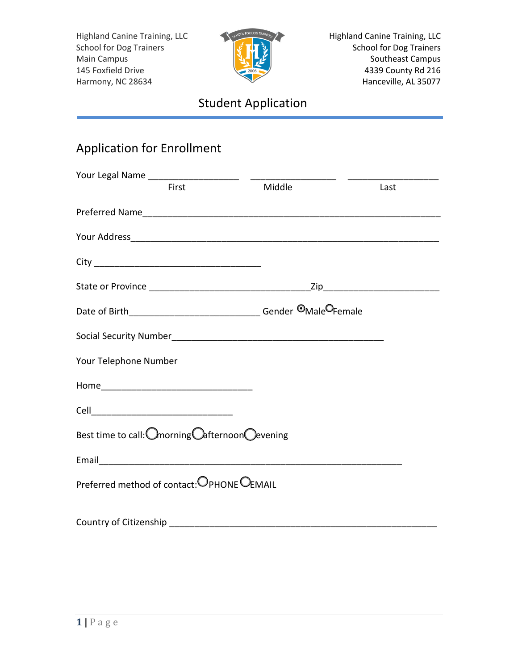

Highland Canine Training, LLC School for Dog Trainers Southeast Campus 4339 County Rd 216 Hanceville, AL 35077

# Student Application

## Application for Enrollment

| First                                           | Middle | Last |
|-------------------------------------------------|--------|------|
|                                                 |        |      |
|                                                 |        |      |
|                                                 |        |      |
|                                                 |        |      |
|                                                 |        |      |
|                                                 |        |      |
| Your Telephone Number                           |        |      |
|                                                 |        |      |
|                                                 |        |      |
| Best time to call: Omorning Oafternoon Oevening |        |      |
|                                                 |        |      |
| Preferred method of contact: OPHONE OEMAIL      |        |      |
|                                                 |        |      |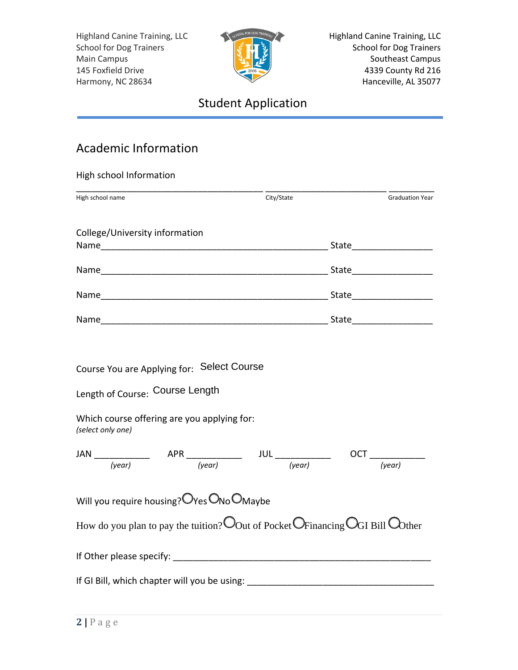

Highland Canine Training, LLC School for Dog Trainers Southeast Campus 4339 County Rd 216 Hanceville, AL 35077

# Student Application

### Academic Information

| High school Information                              |                                                                                                                            |            |                        |
|------------------------------------------------------|----------------------------------------------------------------------------------------------------------------------------|------------|------------------------|
| High school name                                     |                                                                                                                            | City/State | <b>Graduation Year</b> |
| College/University information                       |                                                                                                                            |            |                        |
|                                                      |                                                                                                                            |            |                        |
|                                                      |                                                                                                                            |            |                        |
|                                                      |                                                                                                                            |            |                        |
| Length of Course: Course Length<br>(select only one) | Which course offering are you applying for:                                                                                |            |                        |
|                                                      |                                                                                                                            |            |                        |
|                                                      |                                                                                                                            |            |                        |
|                                                      | Will you require housing? OYes ONo OMaybe<br>How do you plan to pay the tuition? Oout of Pocket OFinancing OGI Bill Oother |            |                        |
|                                                      |                                                                                                                            |            |                        |
|                                                      |                                                                                                                            |            |                        |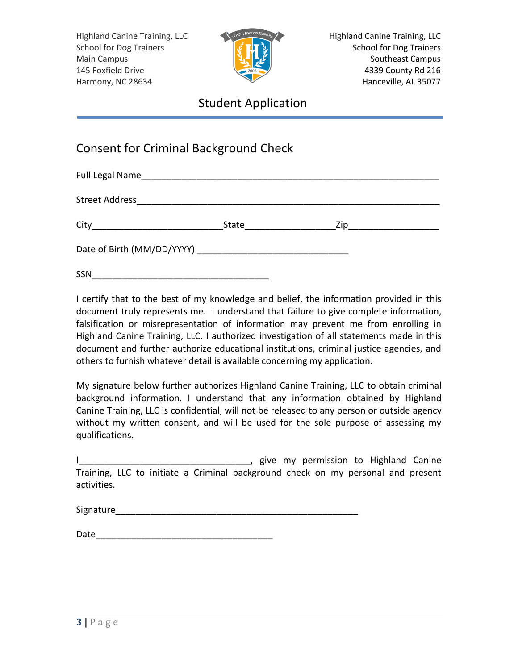

#### Student Application

#### Consent for Criminal Background Check

| SSN |  |
|-----|--|

I certify that to the best of my knowledge and belief, the information provided in this document truly represents me. I understand that failure to give complete information, falsification or misrepresentation of information may prevent me from enrolling in Highland Canine Training, LLC. I authorized investigation of all statements made in this document and further authorize educational institutions, criminal justice agencies, and others to furnish whatever detail is available concerning my application.

My signature below further authorizes Highland Canine Training, LLC to obtain criminal background information. I understand that any information obtained by Highland Canine Training, LLC is confidential, will not be released to any person or outside agency without my written consent, and will be used for the sole purpose of assessing my qualifications.

|                                                                                  |  |  |  |  |  |  |  | give my permission to Highland Canine |
|----------------------------------------------------------------------------------|--|--|--|--|--|--|--|---------------------------------------|
| Training, LLC to initiate a Criminal background check on my personal and present |  |  |  |  |  |  |  |                                       |
| activities.                                                                      |  |  |  |  |  |  |  |                                       |

| Signature |  |  |  |
|-----------|--|--|--|
|           |  |  |  |

| Date |
|------|
|------|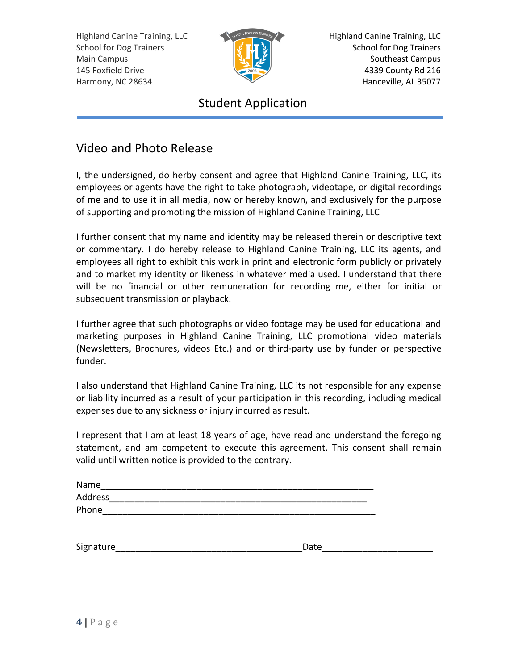

Highland Canine Training, LLC School for Dog Trainers Southeast Campus 4339 County Rd 216 Hanceville, AL 35077

### Student Application

#### Video and Photo Release

I, the undersigned, do herby consent and agree that Highland Canine Training, LLC, its employees or agents have the right to take photograph, videotape, or digital recordings of me and to use it in all media, now or hereby known, and exclusively for the purpose of supporting and promoting the mission of Highland Canine Training, LLC

I further consent that my name and identity may be released therein or descriptive text or commentary. I do hereby release to Highland Canine Training, LLC its agents, and employees all right to exhibit this work in print and electronic form publicly or privately and to market my identity or likeness in whatever media used. I understand that there will be no financial or other remuneration for recording me, either for initial or subsequent transmission or playback.

I further agree that such photographs or video footage may be used for educational and marketing purposes in Highland Canine Training, LLC promotional video materials (Newsletters, Brochures, videos Etc.) and or third-party use by funder or perspective funder.

I also understand that Highland Canine Training, LLC its not responsible for any expense or liability incurred as a result of your participation in this recording, including medical expenses due to any sickness or injury incurred as result.

I represent that I am at least 18 years of age, have read and understand the foregoing statement, and am competent to execute this agreement. This consent shall remain valid until written notice is provided to the contrary.

| Name           |  |  |  |
|----------------|--|--|--|
| <b>Address</b> |  |  |  |
| Phone          |  |  |  |

| Signature | Jate |
|-----------|------|
|           |      |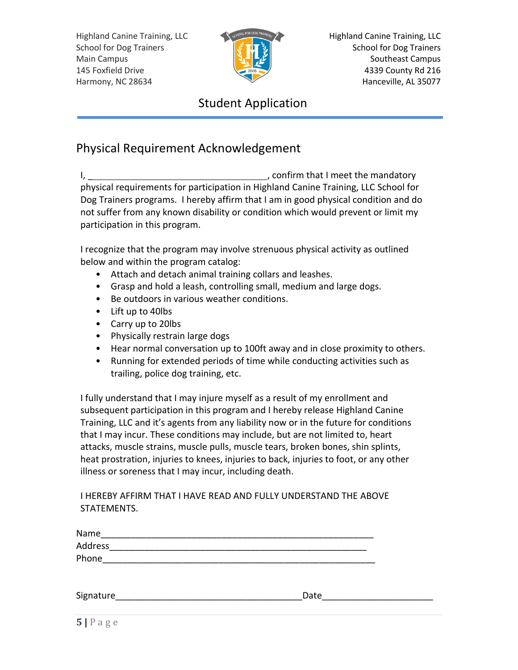

Highland Canine Training, LLC School for Dog Trainers Southeast Campus 4339 County Rd 216 Hanceville, AL 35077

### Student Application

#### Physical Requirement Acknowledgement

I, \_ , confirm that I meet the mandatory physical requirements for participation in Highland Canine Training, LLC School for Dog Trainers programs. I hereby affirm that I am in good physical condition and do not suffer from any known disability or condition which would prevent or limit my participation in this program.

I recognize that the program may involve strenuous physical activity as outlined below and within the program catalog:

- Attach and detach animal training collars and leashes.
- Grasp and hold a leash, controlling small, medium and large dogs.
- Be outdoors in various weather conditions.
- Lift up to 40lbs
- Carry up to 20lbs
- Physically restrain large dogs
- Hear normal conversation up to 100ft away and in close proximity to others.
- Running for extended periods of time while conducting activities such as trailing, police dog training, etc.

I fully understand that I may injure myself as a result of my enrollment and subsequent participation in this program and I hereby release Highland Canine Training, LLC and it's agents from any liability now or in the future for conditions that I may incur. These conditions may include, but are not limited to, heart attacks, muscle strains, muscle pulls, muscle tears, broken bones, shin splints, heat prostration, injuries to knees, injuries to back, injuries to foot, or any other illness or soreness that I may incur, including death.

I HEREBY AFFIRM THAT I HAVE READ AND FULLY UNDERSTAND THE ABOVE STATEMENTS.

| Name      |      |
|-----------|------|
| Address   |      |
| Phone     |      |
|           |      |
|           |      |
| Signature | Date |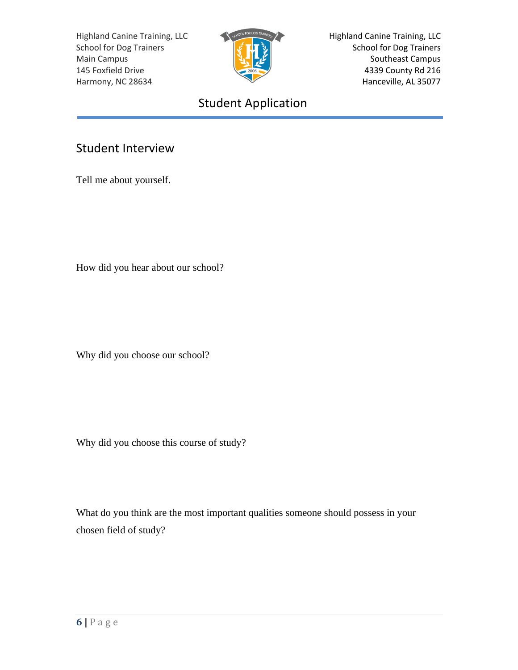

Highland Canine Training, LLC School for Dog Trainers Southeast Campus 4339 County Rd 216 Hanceville, AL 35077

# Student Application

#### Student Interview

Tell me about yourself.

How did you hear about our school?

Why did you choose our school?

Why did you choose this course of study?

What do you think are the most important qualities someone should possess in your chosen field of study?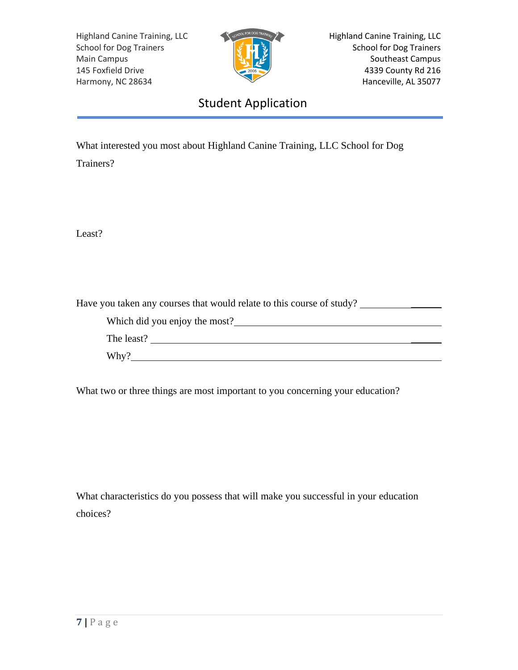

Highland Canine Training, LLC School for Dog Trainers Southeast Campus 4339 County Rd 216 Hanceville, AL 35077

### Student Application

What interested you most about Highland Canine Training, LLC School for Dog

Trainers?

Least?

Have you taken any courses that would relate to this course of study?

Which did you enjoy the most? The least?

Why?

What two or three things are most important to you concerning your education?

What characteristics do you possess that will make you successful in your education choices?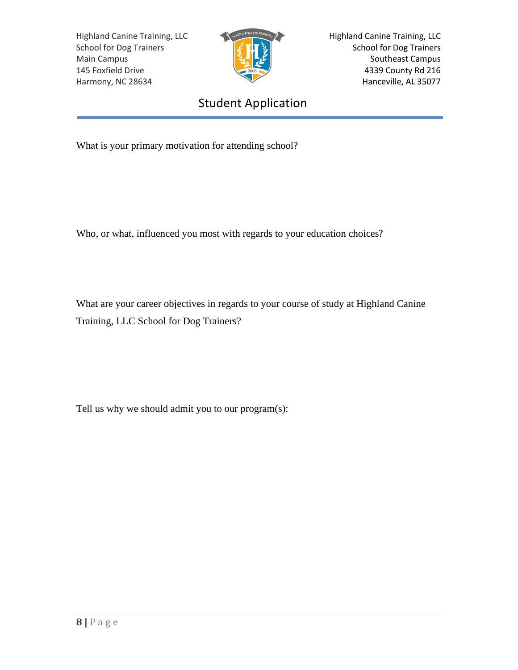

Highland Canine Training, LLC School for Dog Trainers Southeast Campus 4339 County Rd 216 Hanceville, AL 35077

## Student Application

What is your primary motivation for attending school?

Who, or what, influenced you most with regards to your education choices?

What are your career objectives in regards to your course of study at Highland Canine Training, LLC School for Dog Trainers?

Tell us why we should admit you to our program(s):